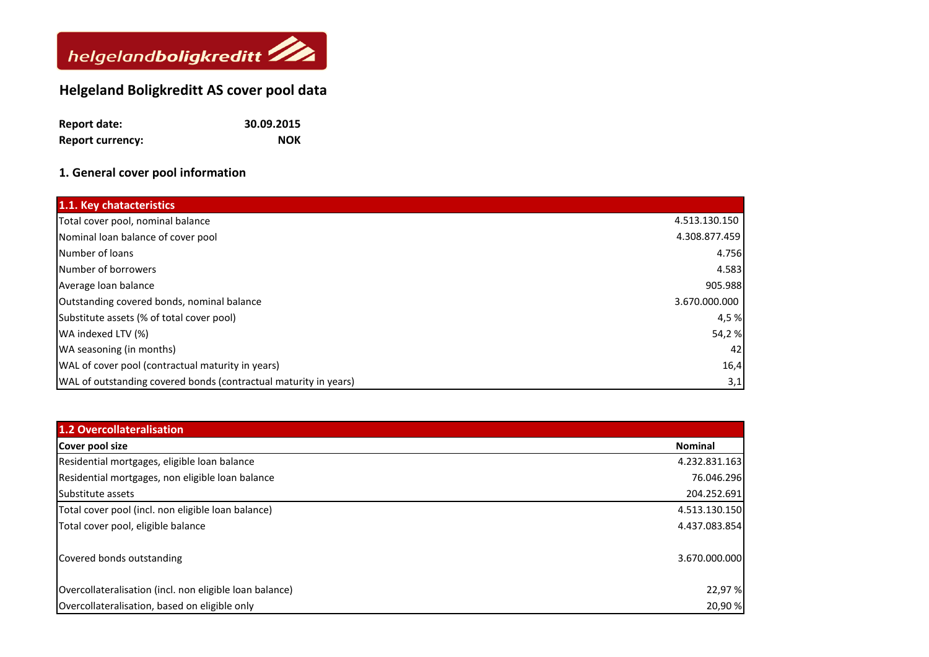

## **Helgeland Boligkreditt AS cover pool data**

| <b>Report date:</b>     | 30.09.2015 |
|-------------------------|------------|
| <b>Report currency:</b> | <b>NOK</b> |

## **1. General cover pool information**

| 1.1. Key chatacteristics                                         |               |
|------------------------------------------------------------------|---------------|
| Total cover pool, nominal balance                                | 4.513.130.150 |
| Nominal loan balance of cover pool                               | 4.308.877.459 |
| Number of loans                                                  | 4.756         |
| Number of borrowers                                              | 4.583         |
| Average loan balance                                             | 905.988       |
| Outstanding covered bonds, nominal balance                       | 3.670.000.000 |
| Substitute assets (% of total cover pool)                        | 4,5 %         |
| WA indexed LTV (%)                                               | 54,2%         |
| WA seasoning (in months)                                         | 42            |
| WAL of cover pool (contractual maturity in years)                | 16,4          |
| WAL of outstanding covered bonds (contractual maturity in years) | 3,1           |

| <b>1.2 Overcollateralisation</b>                        |                |
|---------------------------------------------------------|----------------|
| Cover pool size                                         | <b>Nominal</b> |
| Residential mortgages, eligible loan balance            | 4.232.831.163  |
| Residential mortgages, non eligible loan balance        | 76.046.296     |
| Substitute assets                                       | 204.252.691    |
| Total cover pool (incl. non eligible loan balance)      | 4.513.130.150  |
| Total cover pool, eligible balance                      | 4.437.083.854  |
| Covered bonds outstanding                               | 3.670.000.000  |
| Overcollateralisation (incl. non eligible loan balance) | 22,97 %        |
| Overcollateralisation, based on eligible only           | 20,90 %        |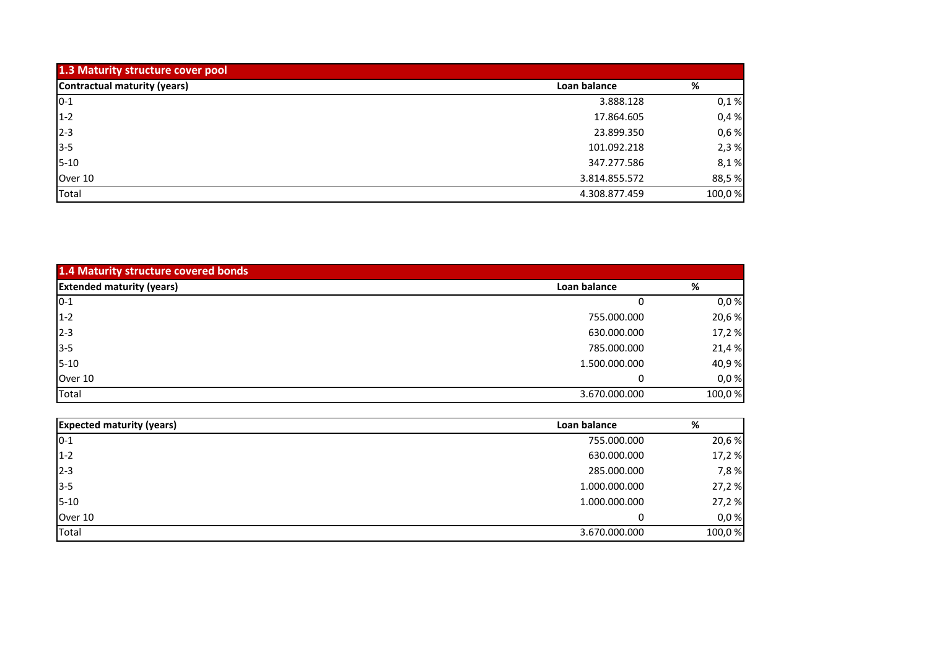| 1.3 Maturity structure cover pool |               |        |
|-----------------------------------|---------------|--------|
| Contractual maturity (years)      | Loan balance  | %      |
| $0-1$                             | 3.888.128     | 0,1%   |
| $1 - 2$                           | 17.864.605    | 0,4%   |
| $2 - 3$                           | 23.899.350    | 0,6%   |
| $3 - 5$                           | 101.092.218   | 2,3%   |
| $5 - 10$                          | 347.277.586   | 8,1%   |
| Over 10                           | 3.814.855.572 | 88,5%  |
| Total                             | 4.308.877.459 | 100,0% |

| 1.4 Maturity structure covered bonds |               |        |
|--------------------------------------|---------------|--------|
| <b>Extended maturity (years)</b>     | Loan balance  | %      |
| $0 - 1$                              |               | 0,0%   |
| $1 - 2$                              | 755.000.000   | 20,6 % |
| $2 - 3$                              | 630.000.000   | 17,2 % |
| $3 - 5$                              | 785.000.000   | 21,4%  |
| $5 - 10$                             | 1.500.000.000 | 40,9%  |
| Over 10                              |               | 0,0%   |
| Total                                | 3.670.000.000 | 100,0% |

| <b>Expected maturity (years)</b> | Loan balance  | %      |
|----------------------------------|---------------|--------|
| $0 - 1$                          | 755.000.000   | 20,6%  |
| $1-2$                            | 630.000.000   | 17,2 % |
| $2 - 3$                          | 285.000.000   | 7,8%   |
| $3 - 5$                          | 1.000.000.000 | 27,2 % |
| $5 - 10$                         | 1.000.000.000 | 27,2%  |
| Over 10                          |               | 0,0%   |
| Total                            | 3.670.000.000 | 100,0% |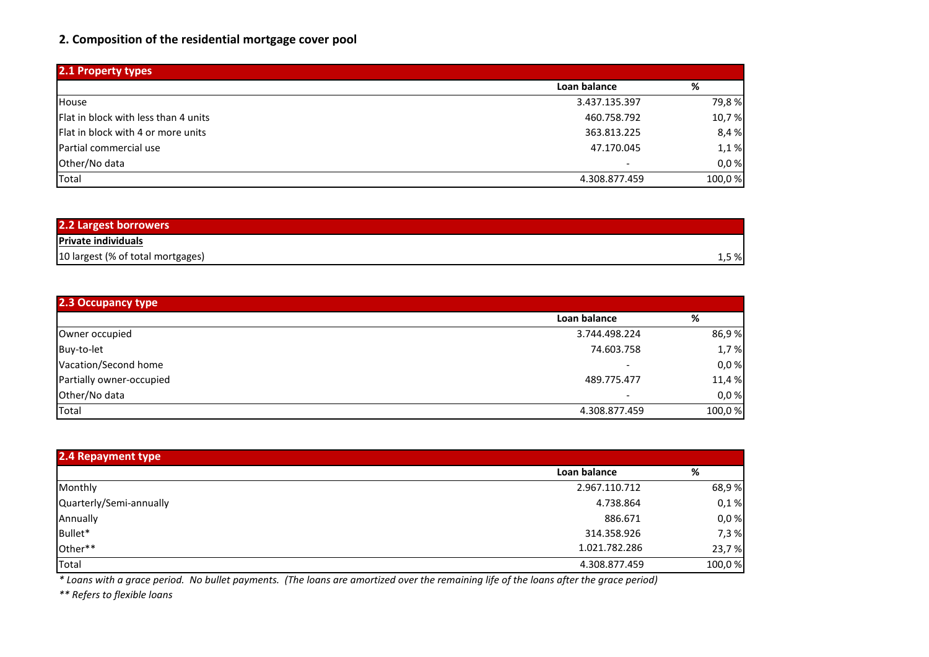## **2. Composition of the residential mortgage cover pool**

| 2.1 Property types                   |               |        |
|--------------------------------------|---------------|--------|
|                                      | Loan balance  | %      |
| House                                | 3.437.135.397 | 79,8%  |
| Flat in block with less than 4 units | 460.758.792   | 10,7%  |
| Flat in block with 4 or more units   | 363.813.225   | 8,4%   |
| Partial commercial use               | 47.170.045    | 1,1%   |
| Other/No data                        |               | 0,0%   |
| Total                                | 4.308.877.459 | 100,0% |

| 2.2 Largest borrowers             |       |
|-----------------------------------|-------|
| <b>Private individuals</b>        |       |
| 10 largest (% of total mortgages) | 1,5 % |

| 2.3 Occupancy type       |               |        |
|--------------------------|---------------|--------|
|                          | Loan balance  | %      |
| Owner occupied           | 3.744.498.224 | 86,9%  |
| Buy-to-let               | 74.603.758    | 1,7%   |
| Vacation/Second home     |               | 0,0%   |
| Partially owner-occupied | 489.775.477   | 11,4 % |
| Other/No data            |               | 0,0%   |
| Total                    | 4.308.877.459 | 100,0% |

| 2.4 Repayment type      |               |        |
|-------------------------|---------------|--------|
|                         | Loan balance  | %      |
| Monthly                 | 2.967.110.712 | 68,9%  |
| Quarterly/Semi-annually | 4.738.864     | 0,1%   |
| Annually                | 886.671       | 0,0%   |
| Bullet*                 | 314.358.926   | 7,3 %  |
| Other**                 | 1.021.782.286 | 23,7%  |
| Total                   | 4.308.877.459 | 100,0% |

*\* Loans with a grace period. No bullet payments. (The loans are amortized over the remaining life of the loans after the grace period)*

*\*\* Refers to flexible loans*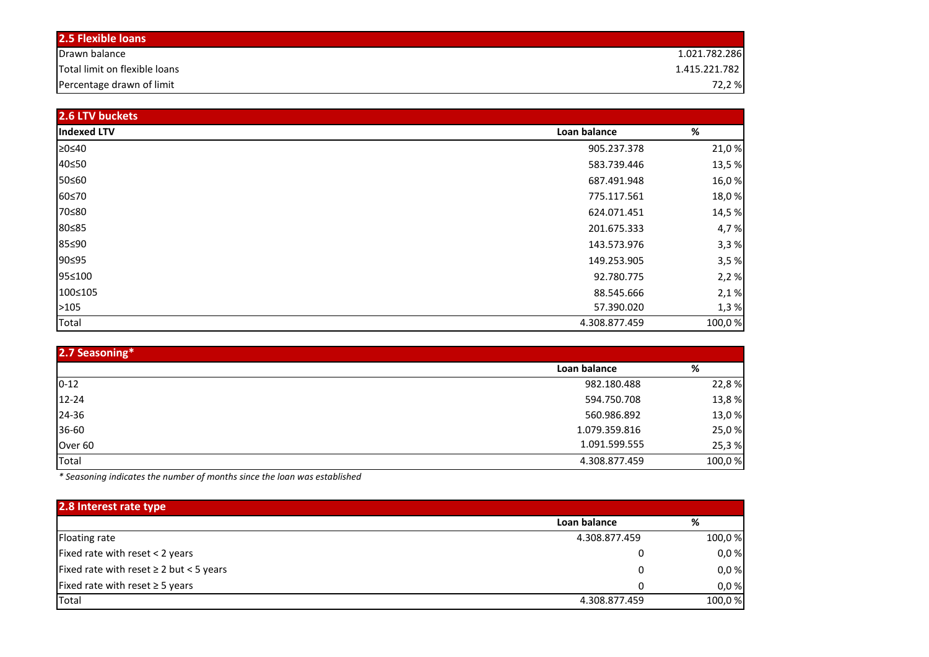| 2.5 Flexible loans                   |               |
|--------------------------------------|---------------|
| Drawn balance                        | 1.021.782.286 |
| <b>Total limit on flexible loans</b> | 1.415.221.782 |
| Percentage drawn of limit            | 72,2 %        |

| 2.6 LTV buckets    |               |        |
|--------------------|---------------|--------|
| <b>Indexed LTV</b> | Loan balance  | %      |
| ≥0≤40              | 905.237.378   | 21,0%  |
| 40≤50              | 583.739.446   | 13,5%  |
| 50≤60              | 687.491.948   | 16,0%  |
| 60≤70              | 775.117.561   | 18,0%  |
| 70≤80              | 624.071.451   | 14,5%  |
| 80≤85              | 201.675.333   | 4,7%   |
| 85≤90              | 143.573.976   | 3,3%   |
| 90≤95              | 149.253.905   | 3,5%   |
| 95≤100             | 92.780.775    | 2,2%   |
| 100≤105            | 88.545.666    | 2,1%   |
| >105               | 57.390.020    | 1,3%   |
| Total              | 4.308.877.459 | 100,0% |

| 2.7 Seasoning*     |               |        |  |  |  |
|--------------------|---------------|--------|--|--|--|
|                    | Loan balance  | %      |  |  |  |
| $0 - 12$           | 982.180.488   | 22,8%  |  |  |  |
| $12 - 24$          | 594.750.708   | 13,8%  |  |  |  |
| 24-36              | 560.986.892   | 13,0%  |  |  |  |
| 36-60              | 1.079.359.816 | 25,0%  |  |  |  |
| Over <sub>60</sub> | 1.091.599.555 | 25,3%  |  |  |  |
| Total              | 4.308.877.459 | 100,0% |  |  |  |

*\* Seasoning indicates the number of months since the loan was established*

| 2.8 Interest rate type                       |               |         |  |  |  |
|----------------------------------------------|---------------|---------|--|--|--|
|                                              | Loan balance  | %       |  |  |  |
| Floating rate                                | 4.308.877.459 | 100,0%  |  |  |  |
| Fixed rate with reset < 2 years              | 0             | 0,0%    |  |  |  |
| Fixed rate with reset $\geq 2$ but < 5 years |               | 0,0%    |  |  |  |
| Fixed rate with reset $\geq$ 5 years         |               | 0,0%    |  |  |  |
| Total                                        | 4.308.877.459 | 100,0 % |  |  |  |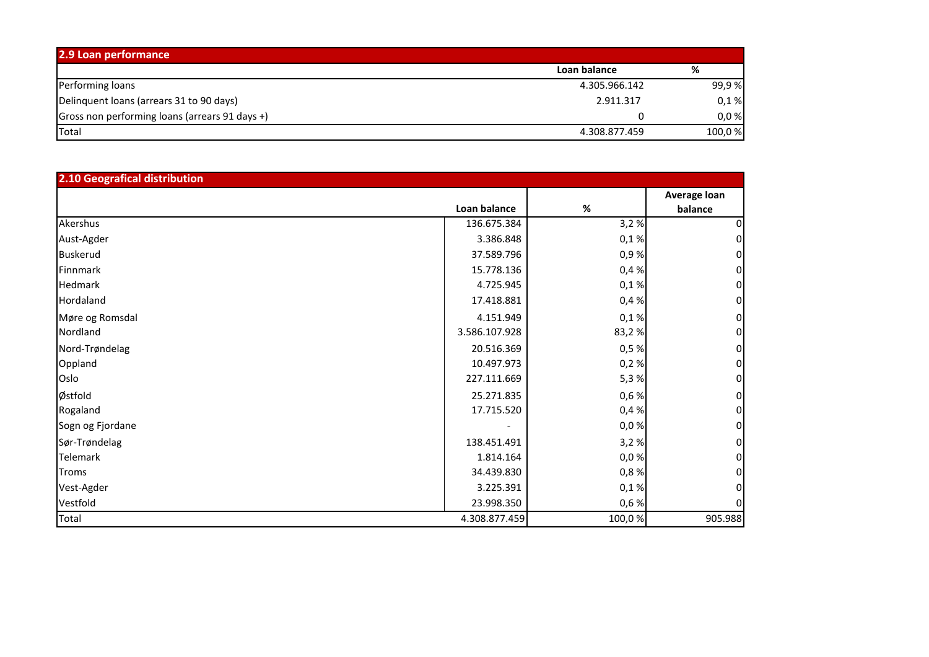| 2.9 Loan performance                           |               |         |  |  |  |  |
|------------------------------------------------|---------------|---------|--|--|--|--|
|                                                | Loan balance  | %       |  |  |  |  |
| Performing loans                               | 4.305.966.142 | 99,9 %  |  |  |  |  |
| Delinquent loans (arrears 31 to 90 days)       | 2.911.317     | 0,1%    |  |  |  |  |
| Gross non performing loans (arrears 91 days +) |               | 0,0%    |  |  |  |  |
| <b>Total</b>                                   | 4.308.877.459 | 100,0 % |  |  |  |  |

| 2.10 Geografical distribution |               |        |                         |
|-------------------------------|---------------|--------|-------------------------|
|                               | Loan balance  | %      | Average loan<br>balance |
| Akershus                      | 136.675.384   | 3,2%   | 0                       |
| Aust-Agder                    | 3.386.848     | 0,1%   | 0                       |
| <b>Buskerud</b>               | 37.589.796    | 0,9%   | 0                       |
| Finnmark                      | 15.778.136    | 0,4%   | 0                       |
| Hedmark                       | 4.725.945     | 0,1%   | 0                       |
| Hordaland                     | 17.418.881    | 0,4%   | 0                       |
| Møre og Romsdal               | 4.151.949     | 0,1%   | 0                       |
| Nordland                      | 3.586.107.928 | 83,2%  | 0                       |
| Nord-Trøndelag                | 20.516.369    | 0,5%   | 0                       |
| Oppland                       | 10.497.973    | 0,2%   | 0                       |
| Oslo                          | 227.111.669   | 5,3%   | 0                       |
| Østfold                       | 25.271.835    | 0,6%   | 0                       |
| Rogaland                      | 17.715.520    | 0,4%   | 0                       |
| Sogn og Fjordane              |               | 0,0%   | 0                       |
| Sør-Trøndelag                 | 138.451.491   | 3,2%   | 0                       |
| <b>Telemark</b>               | 1.814.164     | 0,0%   | 0                       |
| <b>Troms</b>                  | 34.439.830    | 0,8%   | 0                       |
| Vest-Agder                    | 3.225.391     | 0,1%   | 0                       |
| Vestfold                      | 23.998.350    | 0,6%   | 0                       |
| Total                         | 4.308.877.459 | 100,0% | 905.988                 |